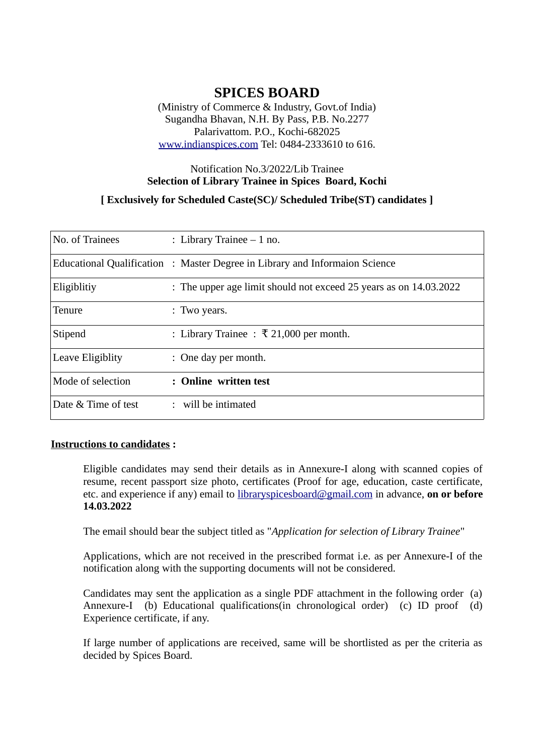## **SPICES BOARD**

(Ministry of Commerce & Industry, Govt.of India) Sugandha Bhavan, N.H. By Pass, P.B. No.2277 Palarivattom. P.O., Kochi-682025 [www.indianspices.com](http://www.indianspices.com/) Tel: 0484-2333610 to 616.

# Notification No.3/2022/Lib Trainee **Selection of Library Trainee in Spices Board, Kochi**

#### **[ Exclusively for Scheduled Caste(SC)/ Scheduled Tribe(ST) candidates ]**

| No. of Trainees     | : Library Trainee $-1$ no.                                                  |
|---------------------|-----------------------------------------------------------------------------|
|                     | Educational Qualification : Master Degree in Library and Informaion Science |
| Eligiblitiy         | : The upper age limit should not exceed 25 years as on 14.03.2022           |
| <b>Tenure</b>       | : Two years.                                                                |
| Stipend             | : Library Trainee : ₹ 21,000 per month.                                     |
| Leave Eligiblity    | : One day per month.                                                        |
| Mode of selection   | : Online written test                                                       |
| Date & Time of test | : will be intimated                                                         |

#### **Instructions to candidates :**

Eligible candidates may send their details as in Annexure-I along with scanned copies of resume, recent passport size photo, certificates (Proof for age, education, caste certificate, etc. and experience if any) email to [libraryspicesboard@gmail.com](mailto:libraryspicesboard@gmail.com) in advance, **on or before 14.03.2022**

The email should bear the subject titled as "*Application for selection of Library Trainee*"

Applications, which are not received in the prescribed format i.e. as per Annexure-I of the notification along with the supporting documents will not be considered.

Candidates may sent the application as a single PDF attachment in the following order (a) Annexure-I (b) Educational qualifications(in chronological order) (c) ID proof (d) Experience certificate, if any.

If large number of applications are received, same will be shortlisted as per the criteria as decided by Spices Board.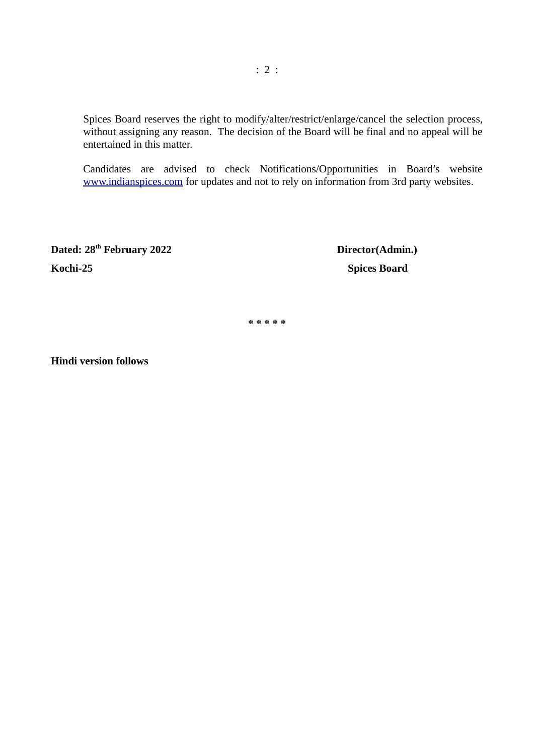Spices Board reserves the right to modify/alter/restrict/enlarge/cancel the selection process, without assigning any reason. The decision of the Board will be final and no appeal will be entertained in this matter.

Candidates are advised to check Notifications/Opportunities in Board's website [www.indianspices.com](http://www.indianspices.com/) for updates and not to rely on information from 3rd party websites.

**Dated: 28 Kochi-25 Spices Board**

**Director(Admin.)** 

**\* \* \* \* \***

**Hindi version follows**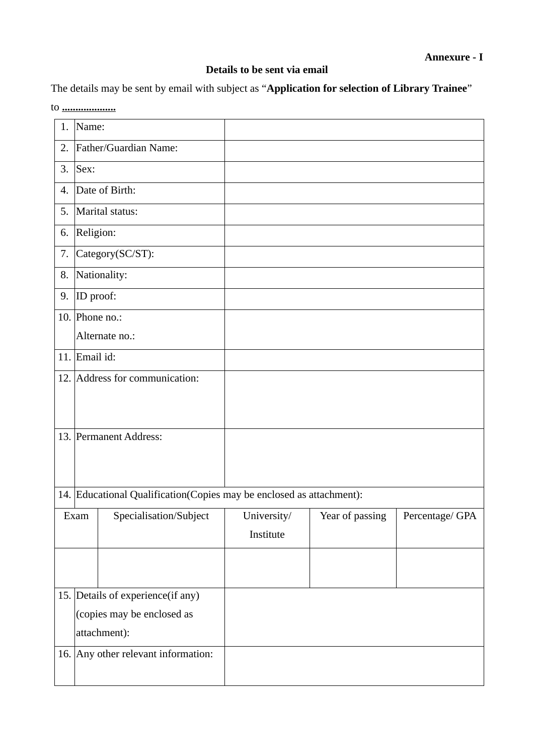### **Details to be sent via email**

The details may be sent by email with subject as "**Application for selection of Library Trainee**" to **....................**

| 1.                         | Name:                                                                |                                |             |                 |                 |  |  |
|----------------------------|----------------------------------------------------------------------|--------------------------------|-------------|-----------------|-----------------|--|--|
| 2.                         | Father/Guardian Name:                                                |                                |             |                 |                 |  |  |
| 3.                         | Sex:                                                                 |                                |             |                 |                 |  |  |
| 4.                         | Date of Birth:                                                       |                                |             |                 |                 |  |  |
| 5.                         | Marital status:                                                      |                                |             |                 |                 |  |  |
| 6.                         | Religion:                                                            |                                |             |                 |                 |  |  |
| 7.                         | Category(SC/ST):                                                     |                                |             |                 |                 |  |  |
| 8.                         | Nationality:                                                         |                                |             |                 |                 |  |  |
| 9.                         | ID proof:                                                            |                                |             |                 |                 |  |  |
|                            |                                                                      | 10. Phone no.:                 |             |                 |                 |  |  |
|                            | Alternate no.:                                                       |                                |             |                 |                 |  |  |
| 11.                        | Email id:                                                            |                                |             |                 |                 |  |  |
|                            |                                                                      | 12. Address for communication: |             |                 |                 |  |  |
|                            |                                                                      |                                |             |                 |                 |  |  |
|                            |                                                                      |                                |             |                 |                 |  |  |
|                            | 13. Permanent Address:                                               |                                |             |                 |                 |  |  |
|                            |                                                                      |                                |             |                 |                 |  |  |
|                            |                                                                      |                                |             |                 |                 |  |  |
|                            | 14. Educational Qualification(Copies may be enclosed as attachment): |                                |             |                 |                 |  |  |
|                            | Exam                                                                 | Specialisation/Subject         | University/ | Year of passing | Percentage/ GPA |  |  |
|                            |                                                                      |                                | Institute   |                 |                 |  |  |
|                            |                                                                      |                                |             |                 |                 |  |  |
|                            |                                                                      |                                |             |                 |                 |  |  |
|                            | 15. Details of experience(if any)                                    |                                |             |                 |                 |  |  |
| (copies may be enclosed as |                                                                      |                                |             |                 |                 |  |  |
| attachment):               |                                                                      |                                |             |                 |                 |  |  |
|                            | 16. Any other relevant information:                                  |                                |             |                 |                 |  |  |
|                            |                                                                      |                                |             |                 |                 |  |  |